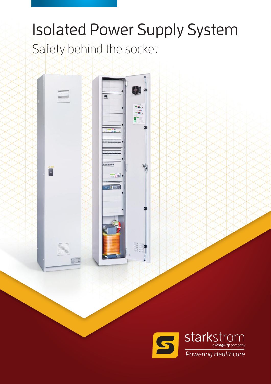# Safety behind the socket Isolated Power Supply System

-ac)<br>-ac)

Ŋ

 $^{\prime}$ m.  $\cdot$ 

 $7.5$ 

F

 $\overline{\bullet}$ 

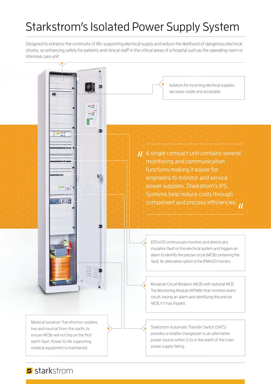# Starkstrom's Isolated Power Supply System

Designed to enhance the continuity of life-supporting electrical supply and reduce the likelihood of dangerous electrical shocks, so enhancing safety for patients and clinical staff in the critical areas of a hospital such as the operating room or intensive care unit.



#### s starkstrom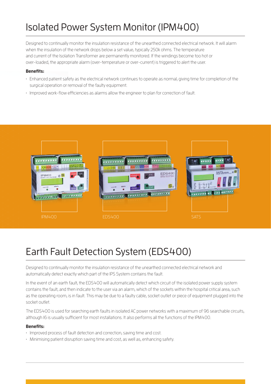## Isolated Power System Monitor (IPM400)

Designed to continually monitor the insulation resistance of the unearthed connected electrical network. It will alarm when the insulation of the network drops below a set value, typically 250k ohms. The temperature and current of the Isolation Transformer are permanently monitored. If the windings become too hot or over-loaded, the appropriate alarm (over-temperature or over-current) is triggered to alert the user.

#### **Benefits:**

- Enhanced patient safety as the electrical network continues to operate as normal, giving time for completion of the surgical operation or removal of the faulty equipment.
- Improved work-flow efficiencies as alarms allow the engineer to plan for correction of fault.



### Earth Fault Detection System (EDS400)

Designed to continually monitor the insulation resistance of the unearthed connected electrical network and automatically detect exactly which part of the IPS System contains the fault.

In the event of an earth fault, the EDS400 will automatically detect which circuit of the isolated power supply system contains the fault, and then indicate to the user via an alarm, which of the sockets within the hospital critical area, such as the operating room, is in fault. This may be due to a faulty cable, socket outlet or piece of equipment plugged into the socket outlet.

The EDS400 is used for searching earth faults in isolated AC power networks with a maximum of 96 searchable circuits, although 16 is usually sufficient for most installations. It also performs all the functions of the IPM400.

#### **Benefits:**

- Improved process of fault detection and correction, saving time and cost.
- Minimising patient disruption saving time and cost, as well as, enhancing safety.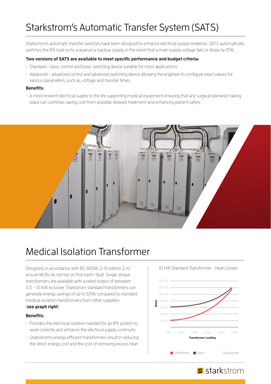### Starkstrom's Automatic Transfer System (SATS)

Starkstrom's automatic transfer switches have been designed to enhance electrical supply resilience. SATS automatically switches the IPS load on to a reserve or backup supply, in the event that a main supply voltage fails or drops by 10%.

#### **Two versions of SATS are available to meet specific performance and budget criteria:**

- Standard basic control and basic switching device suitable for most applications.
- Advanced advanced control and advanced switching device allowing the engineer to configure exact values for various parameters, such as, voltage and transfer times.

#### **Benefits:**

• A more resilient electrical supply to the life supporting medical equipment ensuring that any surgical operation taking place can continue, saving cost from possible delayed treatment and enhancing patient safety.



### Medical Isolation Transformer

Designed, in accordance with IEC 61558-2-15 edition 2, to ensure MCBs do not trip on first earth-fault. Single-phase transformers are available with a rated output of between 0.5 – 10 kVA inclusive. Starkstrom standard transformers can generate energy savings of up to 63% compared to standard medical isolation transformers from other suppliers. (**see graph right**)

#### **Benefits:**

- Provides the electrical isolation needed for an IPS system to work correctly and enhance the electrical supply continuity.
- Starkstrom's energy efficient transformers result in reducing the direct energy cost and the cost of removing excess heat.



#### 10 kVA Standard Transformer - Heat Losses

#### s starkstrom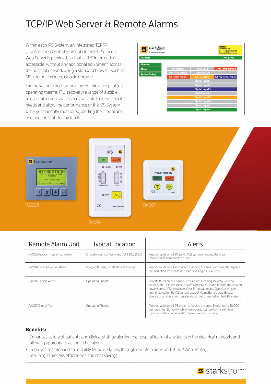## TCP/IP Web Server & Remote Alarms

Within each IPS System, an integrated TCP/IP (Transmission Control Protocol / Internet Protocol) Web Server is provided, so that all IPS information is accessible, without any additional equipment, across the hospital network using a standard browser such as MS Internet Explorer, Google Chrome.

For the various medical locations within a hospital (e.g. operating theatre, ITU, recovery) a range of audible and visual remote alarms are available to meet specific needs and allow the performance of the IPS System to be permanently monitored, alerting the clinical and engineering staff to any faults.

| starkstrom<br>S<br>Powering Healthcare |                       |                        | <b>Contact:</b><br><b>Starkstrom Ltd</b><br>$(T) + 44(0)$ 208 8683732<br>(E) info@starkstrom.com |
|----------------------------------------|-----------------------|------------------------|--------------------------------------------------------------------------------------------------|
| <b>ALARMS</b>                          |                       |                        | IPM 400::                                                                                        |
| <b>Monitor</b>                         |                       |                        |                                                                                                  |
| <b>Alarms</b>                          | <b>Insulation</b>     | Max Load               | <b>Over Temperature</b>                                                                          |
| <b>System Setup</b>                    | <b>IPM Connection</b> | <b>System Fault</b>    |                                                                                                  |
|                                        | <b>K1-Main Alarm</b>  | K2-Iso Alarm           | <b>K3-Optional Alarm</b>                                                                         |
|                                        |                       | <b>Digital Input 1</b> |                                                                                                  |
|                                        |                       | <b>Digital Input 2</b> |                                                                                                  |
|                                        |                       | <b>Digital Input 3</b> |                                                                                                  |
|                                        |                       | digital Input 4        |                                                                                                  |
|                                        |                       | <b>Digital Input 5</b> |                                                                                                  |
|                                        |                       | <b>Digital Input 6</b> |                                                                                                  |
|                                        |                       | <b>Digital Input 7</b> |                                                                                                  |
|                                        |                       | <b>Digital Input 8</b> |                                                                                                  |

s starkstrom



| Remote Alarm Unit             | <b>Typical Location</b>                       | Alerts                                                                                                                                                                                                                                                                                                                                                                          |
|-------------------------------|-----------------------------------------------|---------------------------------------------------------------------------------------------------------------------------------------------------------------------------------------------------------------------------------------------------------------------------------------------------------------------------------------------------------------------------------|
| RA003 Programmable Text Alarm | Critical Areas, e.g. Recovery, ITU, HDU, SCBU | Reports faults on all IPS (and UPS) systems feeding the area.<br>Shows exact location of the fault.                                                                                                                                                                                                                                                                             |
| RAOO4 Isolated Power Alarm    | Imaging Rooms, Single Patient Rooms           | Reports faults on all IPS systems feeding the area. Permanently displays<br>the insulation resistance and load of a single IPS system.                                                                                                                                                                                                                                          |
| RA006 Clinical Alarm          | Operating Theatre                             | Reports faults on all IPS (and UPS) systems feeding the area. To know<br>status of the uninterruptible power supply (UPS) that is feeding the isolated<br>power supply (IPS). Insulation, Over Temperature and Over Current can<br>be monitored for the IPS system. Loss of Mains, Battery Low, Bypass<br>Operation or other common alarms can be connected for the UPS system. |
| RAOO7 Clinical Alarm          | Operating Theatre                             | Reports faults on all IPS systems feeding the area. Similar to the RAOO6<br>but has a Test Button which when pressed, will perform a self-test<br>function of the connected IPS System monitoring relay.                                                                                                                                                                        |

#### **Benefits:**

- Enhances safety of patients and clinical staff by alerting the hospital team of any faults in the electrical network, and allowing appropriate action to be taken.
- Improves maintenance and ability to locate faults, through remote alarms and TCP/IP Web Server, resulting in process efficiencies and cost savings.